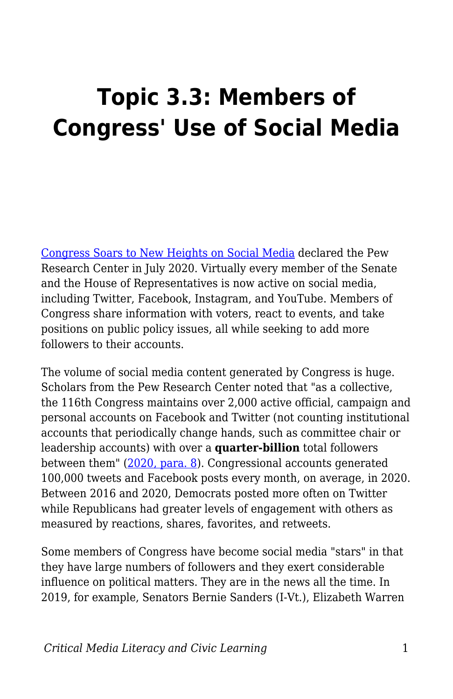# **Topic 3.3: Members of Congress' Use of Social Media**

[Congress Soars to New Heights on Social Media](https://www.pewresearch.org/internet/2020/07/16/congress-soars-to-new-heights-on-social-media/) declared the Pew Research Center in July 2020. Virtually every member of the Senate and the House of Representatives is now active on social media, including Twitter, Facebook, Instagram, and YouTube. Members of Congress share information with voters, react to events, and take positions on public policy issues, all while seeking to add more followers to their accounts.

The volume of social media content generated by Congress is huge. Scholars from the Pew Research Center noted that "as a collective, the 116th Congress maintains over 2,000 active official, campaign and personal accounts on Facebook and Twitter (not counting institutional accounts that periodically change hands, such as committee chair or leadership accounts) with over a **quarter-billion** total followers between them" [\(2020, para. 8](https://www.pewresearch.org/internet/2020/07/16/congress-soars-to-new-heights-on-social-media/)). Congressional accounts generated 100,000 tweets and Facebook posts every month, on average, in 2020. Between 2016 and 2020, Democrats posted more often on Twitter while Republicans had greater levels of engagement with others as measured by reactions, shares, favorites, and retweets.

Some members of Congress have become social media "stars" in that they have large numbers of followers and they exert considerable influence on political matters. They are in the news all the time. In 2019, for example, Senators Bernie Sanders (I-Vt.), Elizabeth Warren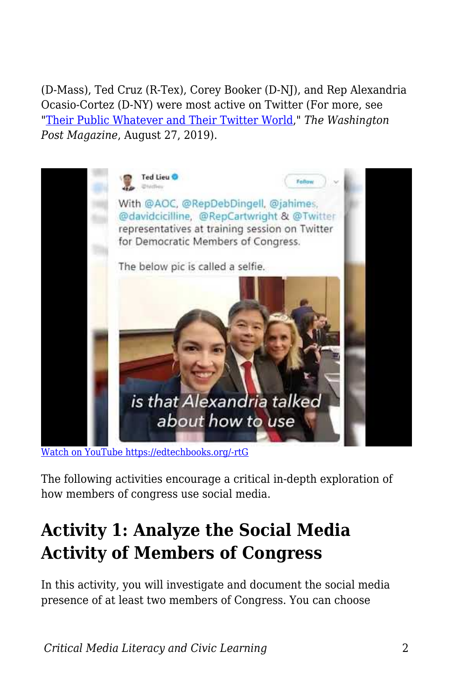(D-Mass), Ted Cruz (R-Tex), Corey Booker (D-NJ), and Rep Alexandria Ocasio-Cortez (D-NY) were most active on Twitter (For more, see ["Their Public Whatever and Their Twitter World](https://www.washingtonpost.com/graphics/2019/lifestyle/magazine/amp-stories/twitter/)," *The Washington Post Magazine*, August 27, 2019).



[Watch on YouTube https://edtechbooks.org/-rtG](https://www.youtube.com/embed/dNpVeNGXeJI?autoplay=1&rel=0&showinfo=0&modestbranding=1)

The following activities encourage a critical in-depth exploration of how members of congress use social media.

### **Activity 1: Analyze the Social Media Activity of Members of Congress**

In this activity, you will investigate and document the social media presence of at least two members of Congress. You can choose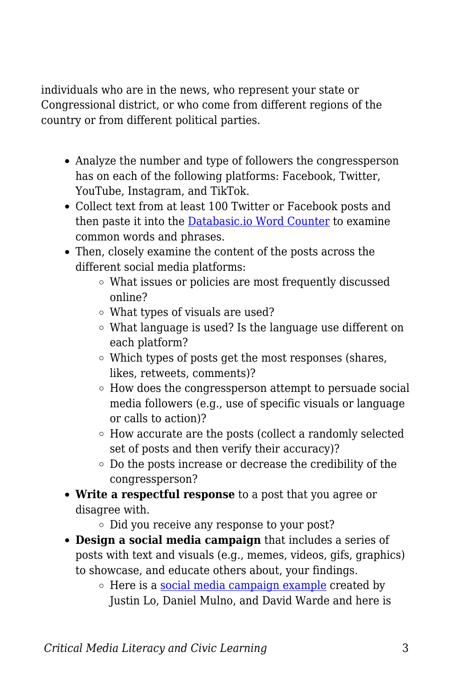individuals who are in the news, who represent your state or Congressional district, or who come from different regions of the country or from different political parties.

- Analyze the number and type of followers the congressperson has on each of the following platforms: Facebook, Twitter, YouTube, Instagram, and TikTok.
- Collect text from at least 100 Twitter or Facebook posts and then paste it into the [Databasic.io Word Counter](https://databasic.io/en/wordcounter/#paste) to examine common words and phrases.
- Then, closely examine the content of the posts across the different social media platforms:
	- What issues or policies are most frequently discussed online?
	- What types of visuals are used?
	- What language is used? Is the language use different on each platform?
	- Which types of posts get the most responses (shares, likes, retweets, comments)?
	- How does the congressperson attempt to persuade social media followers (e.g., use of specific visuals or language or calls to action)?
	- How accurate are the posts (collect a randomly selected set of posts and then verify their accuracy)?
	- Do the posts increase or decrease the credibility of the congressperson?
- **Write a respectful response** to a post that you agree or disagree with.
	- Did you receive any response to your post?
- **Design a social media campaign** that includes a series of posts with text and visuals (e.g., memes, videos, gifs, graphics) to showcase, and educate others about, your findings.
	- $\circ$  Here is a [social media campaign example](https://docs.google.com/presentation/d/1UVq70iOjTZjuBomyv3qPZgc_niHIf2DmRZUc9UcUMS8/edit#slide=id.g4a3217772d_0_0) created by Justin Lo, Daniel Mulno, and David Warde and here is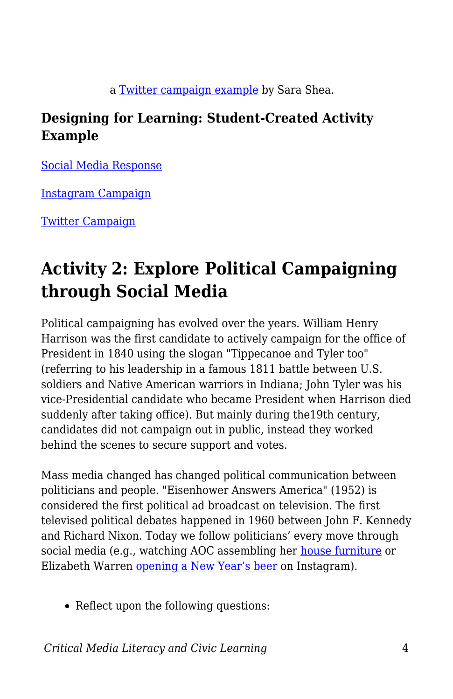a [Twitter campaign example](https://docs.google.com/presentation/d/1SUGk9qGu1GNfeXrdxcxayf4e1nDPV2529PrryngIEP0/edit?usp=sharing) by Sara Shea.

#### **Designing for Learning: Student-Created Activity Example**

[Social Media Response](https://docs.google.com/document/d/1fXncZYFfnhpxab5aMlaub8yspOZuXhLyJyuFbqarrX8/edit?usp=sharing)

[Instagram Campaign](https://drive.google.com/drive/folders/1PezJuG7wGB9V-cLllGCTyy-pmy3D1t5W?usp=sharing)

[Twitter Campaign](https://drive.google.com/drive/folders/1FLNGLAmx3lCbI3cBnPzrYYZ81ZVP_-r_?usp=sharing)

## **Activity 2: Explore Political Campaigning through Social Media**

Political campaigning has evolved over the years. William Henry Harrison was the first candidate to actively campaign for the office of President in 1840 using the slogan "Tippecanoe and Tyler too" (referring to his leadership in a famous 1811 battle between U.S. soldiers and Native American warriors in Indiana; John Tyler was his vice-Presidential candidate who became President when Harrison died suddenly after taking office). But mainly during the19th century, candidates did not campaign out in public, instead they worked behind the scenes to secure support and votes.

Mass media changed has changed political communication between politicians and people. "Eisenhower Answers America" (1952) is considered the first political ad broadcast on television. The first televised political debates happened in 1960 between John F. Kennedy and Richard Nixon. Today we follow politicians' every move through social media (e.g., watching AOC assembling her [house furniture](https://www.youtube.com/watch?v=4WaaHKO2BAg) or Elizabeth Warren [opening a New Year's beer](https://www.youtube.com/watch?v=sWehvtOL_VI) on Instagram).

• Reflect upon the following questions: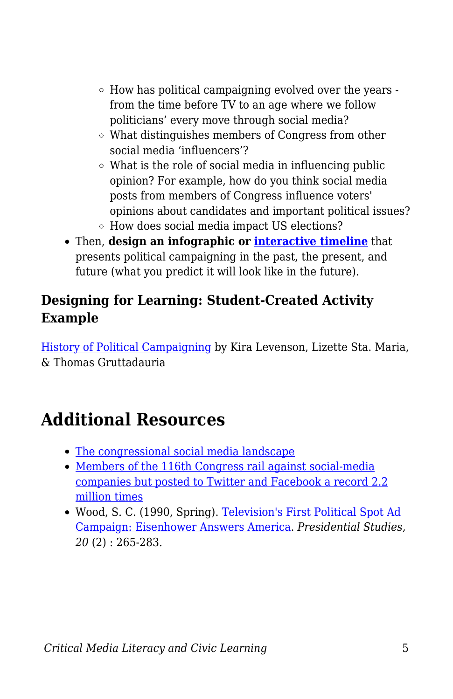- $\circ$  How has political campaigning evolved over the years from the time before TV to an age where we follow politicians' every move through social media?
- What distinguishes members of Congress from other social media 'influencers'?
- What is the role of social media in influencing public opinion? For example, how do you think social media posts from members of Congress influence voters' opinions about candidates and important political issues?
- How does social media impact US elections?
- Then, **design an infographic or [interactive timeline](https://blogs.umass.edu/onlinetools/learner-centered-tools/sutori/)** that presents political campaigning in the past, the present, and future (what you predict it will look like in the future).

#### **Designing for Learning: Student-Created Activity Example**

[History of Political Campaigning](https://create.piktochart.com/output/57899404-history-of-political-campaigning) by Kira Levenson, Lizette Sta. Maria, & Thomas Gruttadauria

### **Additional Resources**

- [The congressional social media landscape](https://www.pewresearch.org/internet/2020/07/16/1-the-congressional-social-media-landscape/)
- [Members of the 116th Congress rail against social-media](https://www.businessinsider.com/congress-members-social-media-records-analysis-2021-1) [companies but posted to Twitter and Facebook a record 2.2](https://www.businessinsider.com/congress-members-social-media-records-analysis-2021-1) [million times](https://www.businessinsider.com/congress-members-social-media-records-analysis-2021-1)
- Wood, S. C. (1990, Spring). [Television's First Political Spot Ad](https://www.jstor.org/stable/27550614?seq=1) [Campaign: Eisenhower Answers America](https://www.jstor.org/stable/27550614?seq=1). *Presidential Studies, 20* (2) : 265-283.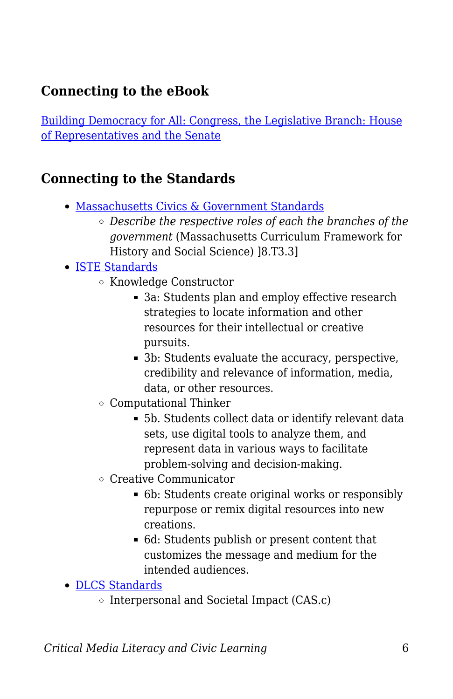### **Connecting to the eBook**

[Building Democracy for All: Congress, the Legislative Branch: House](https://edtechbooks.org/democracy/roles#p_BzdKH) [of Representatives and the Senate](https://edtechbooks.org/democracy/roles#p_BzdKH)

#### **Connecting to the Standards**

- [Massachusetts Civics & Government Standards](https://www.doe.mass.edu/frameworks/hss/2018-12.pdf)
	- *Describe the respective roles of each the branches of the government* (Massachusetts Curriculum Framework for History and Social Science) ]8.T3.3]
- [ISTE Standards](https://www.iste.org/standards/for-students)
	- Knowledge Constructor
		- 3a: Students plan and employ effective research strategies to locate information and other resources for their intellectual or creative pursuits.
		- 3b: Students evaluate the accuracy, perspective, credibility and relevance of information, media, data, or other resources.
	- Computational Thinker
		- 5b. Students collect data or identify relevant data sets, use digital tools to analyze them, and represent data in various ways to facilitate problem-solving and decision-making.
	- Creative Communicator
		- 6b: Students create original works or responsibly repurpose or remix digital resources into new creations.
		- 6d: Students publish or present content that customizes the message and medium for the intended audiences.
- [DLCS Standards](https://www.doe.mass.edu/stem/dlcs/?section=planningtools)
	- $\circ$  Interpersonal and Societal Impact (CAS.c)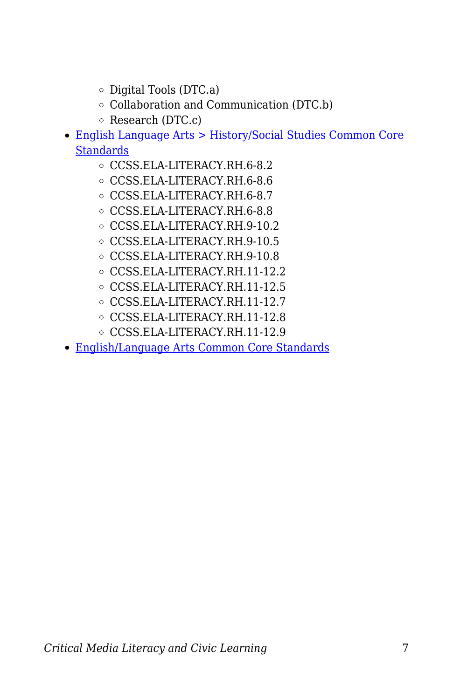- $\circ$  Digital Tools (DTC.a)
- Collaboration and Communication (DTC.b)
- $\circ$  Research (DTC.c)
- [English Language Arts > History/Social Studies Common Core](http://www.corestandards.org/ELA-Literacy/RH/introduction/) **[Standards](http://www.corestandards.org/ELA-Literacy/RH/introduction/)** 
	- CCSS.ELA-LITERACY.RH.6-8.2
	- CCSS.ELA-LITERACY.RH.6-8.6
	- CCSS.ELA-LITERACY.RH.6-8.7
	- CCSS.ELA-LITERACY.RH.6-8.8
	- CCSS.ELA-LITERACY.RH.9-10.2
	- CCSS.ELA-LITERACY.RH.9-10.5
	- CCSS.ELA-LITERACY.RH.9-10.8
	- CCSS.ELA-LITERACY.RH.11-12.2
	- CCSS.ELA-LITERACY.RH.11-12.5
	- CCSS.ELA-LITERACY.RH.11-12.7
	- CCSS.ELA-LITERACY.RH.11-12.8
	- CCSS.ELA-LITERACY.RH.11-12.9
- [English/Language Arts Common Core Standards](http://www.corestandards.org/ELA-Literacy/)